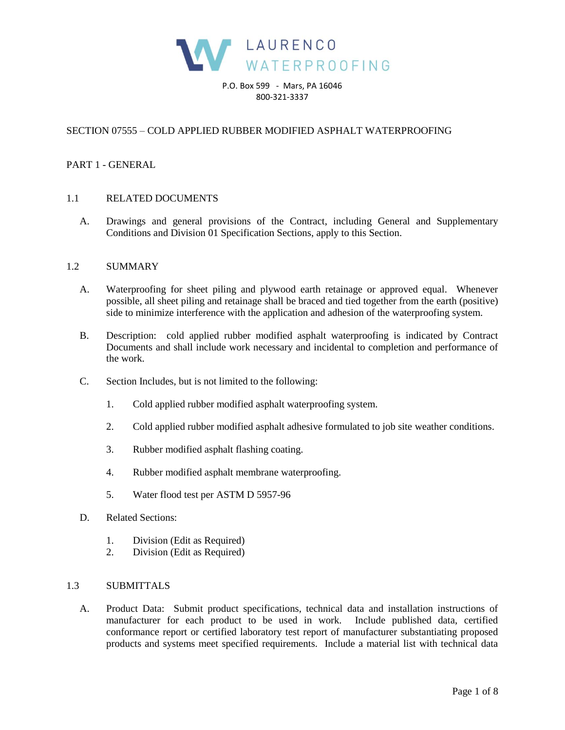

P.O. Box 599 - Mars, PA 16046 800-321-3337

## SECTION 07555 – COLD APPLIED RUBBER MODIFIED ASPHALT WATERPROOFING

### PART 1 - GENERAL

### 1.1 RELATED DOCUMENTS

A. Drawings and general provisions of the Contract, including General and Supplementary Conditions and Division 01 Specification Sections, apply to this Section.

#### 1.2 SUMMARY

- A. Waterproofing for sheet piling and plywood earth retainage or approved equal. Whenever possible, all sheet piling and retainage shall be braced and tied together from the earth (positive) side to minimize interference with the application and adhesion of the waterproofing system.
- B. Description: cold applied rubber modified asphalt waterproofing is indicated by Contract Documents and shall include work necessary and incidental to completion and performance of the work.
- C. Section Includes, but is not limited to the following:
	- 1. Cold applied rubber modified asphalt waterproofing system.
	- 2. Cold applied rubber modified asphalt adhesive formulated to job site weather conditions.
	- 3. Rubber modified asphalt flashing coating.
	- 4. Rubber modified asphalt membrane waterproofing.
	- 5. Water flood test per ASTM D 5957-96
- D. Related Sections:
	- 1. Division (Edit as Required)
	- 2. Division (Edit as Required)

## 1.3 SUBMITTALS

A. Product Data: Submit product specifications, technical data and installation instructions of manufacturer for each product to be used in work. Include published data, certified conformance report or certified laboratory test report of manufacturer substantiating proposed products and systems meet specified requirements. Include a material list with technical data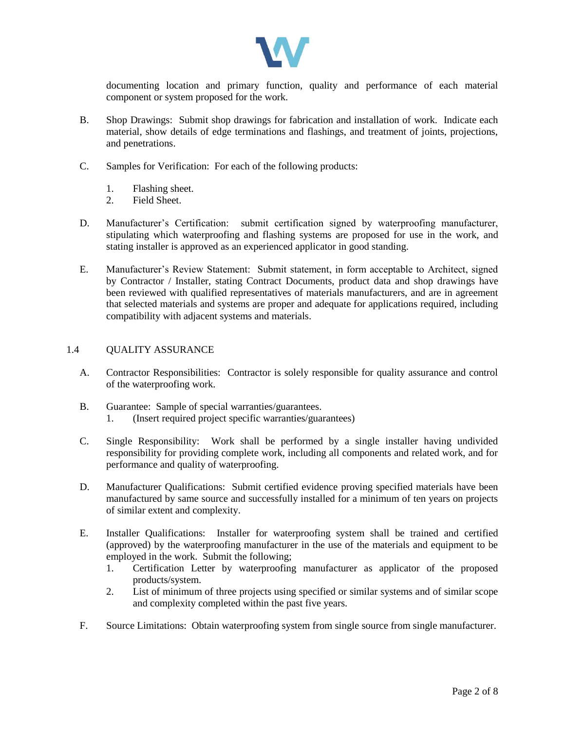

documenting location and primary function, quality and performance of each material component or system proposed for the work.

- B. Shop Drawings: Submit shop drawings for fabrication and installation of work. Indicate each material, show details of edge terminations and flashings, and treatment of joints, projections, and penetrations.
- C. Samples for Verification: For each of the following products:
	- 1. Flashing sheet.
	- 2. Field Sheet.
- D. Manufacturer's Certification: submit certification signed by waterproofing manufacturer, stipulating which waterproofing and flashing systems are proposed for use in the work, and stating installer is approved as an experienced applicator in good standing.
- E. Manufacturer's Review Statement: Submit statement, in form acceptable to Architect, signed by Contractor / Installer, stating Contract Documents, product data and shop drawings have been reviewed with qualified representatives of materials manufacturers, and are in agreement that selected materials and systems are proper and adequate for applications required, including compatibility with adjacent systems and materials.

### 1.4 QUALITY ASSURANCE

- A. Contractor Responsibilities: Contractor is solely responsible for quality assurance and control of the waterproofing work.
- B. Guarantee: Sample of special warranties/guarantees. 1. (Insert required project specific warranties/guarantees)
- C. Single Responsibility: Work shall be performed by a single installer having undivided responsibility for providing complete work, including all components and related work, and for performance and quality of waterproofing.
- D. Manufacturer Qualifications: Submit certified evidence proving specified materials have been manufactured by same source and successfully installed for a minimum of ten years on projects of similar extent and complexity.
- E. Installer Qualifications: Installer for waterproofing system shall be trained and certified (approved) by the waterproofing manufacturer in the use of the materials and equipment to be employed in the work. Submit the following;
	- 1. Certification Letter by waterproofing manufacturer as applicator of the proposed products/system.
	- 2. List of minimum of three projects using specified or similar systems and of similar scope and complexity completed within the past five years.
- F. Source Limitations: Obtain waterproofing system from single source from single manufacturer.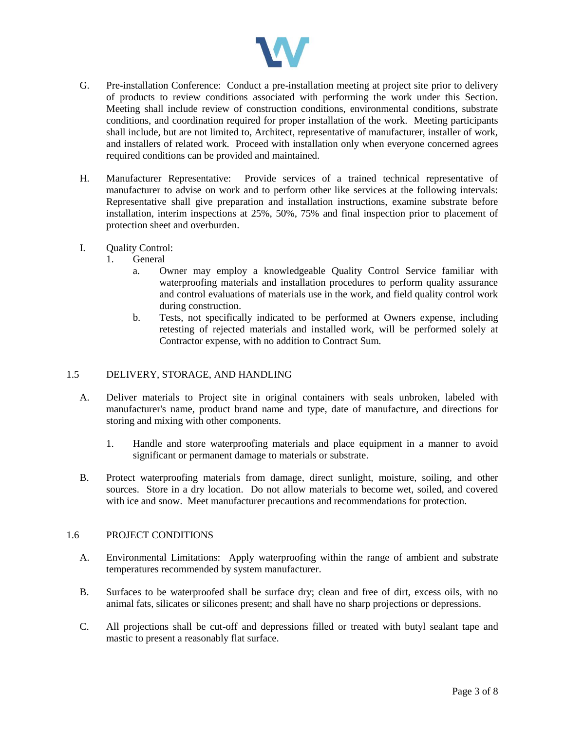

- G. Pre-installation Conference: Conduct a pre-installation meeting at project site prior to delivery of products to review conditions associated with performing the work under this Section. Meeting shall include review of construction conditions, environmental conditions, substrate conditions, and coordination required for proper installation of the work. Meeting participants shall include, but are not limited to, Architect, representative of manufacturer, installer of work, and installers of related work. Proceed with installation only when everyone concerned agrees required conditions can be provided and maintained.
- H. Manufacturer Representative: Provide services of a trained technical representative of manufacturer to advise on work and to perform other like services at the following intervals: Representative shall give preparation and installation instructions, examine substrate before installation, interim inspections at 25%, 50%, 75% and final inspection prior to placement of protection sheet and overburden.
- I. Quality Control:
	- 1. General
		- a. Owner may employ a knowledgeable Quality Control Service familiar with waterproofing materials and installation procedures to perform quality assurance and control evaluations of materials use in the work, and field quality control work during construction.
		- b. Tests, not specifically indicated to be performed at Owners expense, including retesting of rejected materials and installed work, will be performed solely at Contractor expense, with no addition to Contract Sum.

## 1.5 DELIVERY, STORAGE, AND HANDLING

- A. Deliver materials to Project site in original containers with seals unbroken, labeled with manufacturer's name, product brand name and type, date of manufacture, and directions for storing and mixing with other components.
	- 1. Handle and store waterproofing materials and place equipment in a manner to avoid significant or permanent damage to materials or substrate.
- B. Protect waterproofing materials from damage, direct sunlight, moisture, soiling, and other sources. Store in a dry location. Do not allow materials to become wet, soiled, and covered with ice and snow. Meet manufacturer precautions and recommendations for protection.

#### 1.6 PROJECT CONDITIONS

- A. Environmental Limitations: Apply waterproofing within the range of ambient and substrate temperatures recommended by system manufacturer.
- B. Surfaces to be waterproofed shall be surface dry; clean and free of dirt, excess oils, with no animal fats, silicates or silicones present; and shall have no sharp projections or depressions.
- C. All projections shall be cut-off and depressions filled or treated with butyl sealant tape and mastic to present a reasonably flat surface.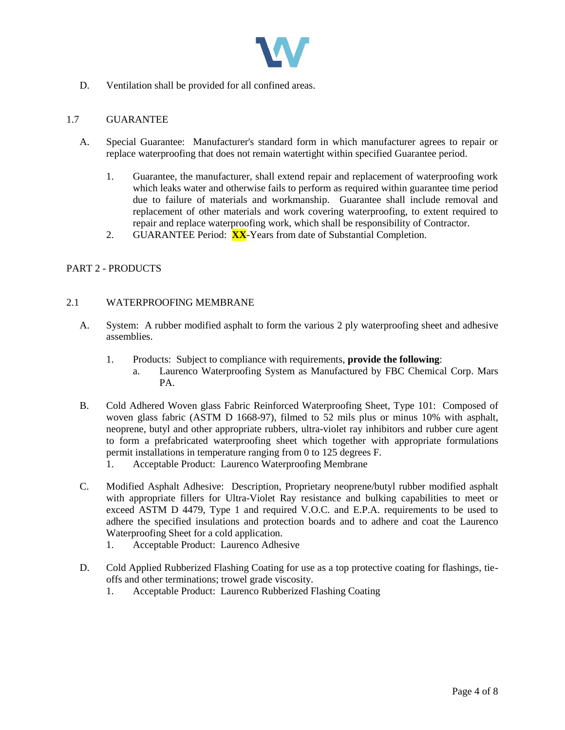

D. Ventilation shall be provided for all confined areas.

## 1.7 GUARANTEE

- A. Special Guarantee: Manufacturer's standard form in which manufacturer agrees to repair or replace waterproofing that does not remain watertight within specified Guarantee period.
	- 1. Guarantee, the manufacturer, shall extend repair and replacement of waterproofing work which leaks water and otherwise fails to perform as required within guarantee time period due to failure of materials and workmanship. Guarantee shall include removal and replacement of other materials and work covering waterproofing, to extent required to repair and replace waterproofing work, which shall be responsibility of Contractor.
	- 2. GUARANTEE Period: **XX**-Years from date of Substantial Completion.

# PART 2 - PRODUCTS

### 2.1 WATERPROOFING MEMBRANE

- A. System: A rubber modified asphalt to form the various 2 ply waterproofing sheet and adhesive assemblies.
	- 1. Products: Subject to compliance with requirements, **provide the following**:
		- a. Laurenco Waterproofing System as Manufactured by FBC Chemical Corp. Mars PA.
- B. Cold Adhered Woven glass Fabric Reinforced Waterproofing Sheet, Type 101: Composed of woven glass fabric (ASTM D 1668-97), filmed to 52 mils plus or minus 10% with asphalt, neoprene, butyl and other appropriate rubbers, ultra-violet ray inhibitors and rubber cure agent to form a prefabricated waterproofing sheet which together with appropriate formulations permit installations in temperature ranging from 0 to 125 degrees F.
	- 1. Acceptable Product: Laurenco Waterproofing Membrane
- C. Modified Asphalt Adhesive: Description, Proprietary neoprene/butyl rubber modified asphalt with appropriate fillers for Ultra-Violet Ray resistance and bulking capabilities to meet or exceed ASTM D 4479, Type 1 and required V.O.C. and E.P.A. requirements to be used to adhere the specified insulations and protection boards and to adhere and coat the Laurenco Waterproofing Sheet for a cold application.
	- 1. Acceptable Product: Laurenco Adhesive
- D. Cold Applied Rubberized Flashing Coating for use as a top protective coating for flashings, tieoffs and other terminations; trowel grade viscosity.
	- 1. Acceptable Product: Laurenco Rubberized Flashing Coating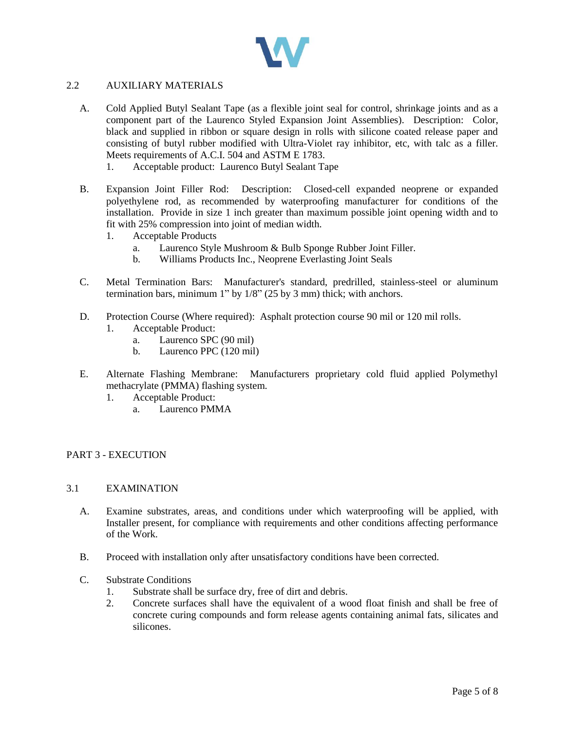

## 2.2 AUXILIARY MATERIALS

- A. Cold Applied Butyl Sealant Tape (as a flexible joint seal for control, shrinkage joints and as a component part of the Laurenco Styled Expansion Joint Assemblies). Description: Color, black and supplied in ribbon or square design in rolls with silicone coated release paper and consisting of butyl rubber modified with Ultra-Violet ray inhibitor, etc, with talc as a filler. Meets requirements of A.C.I. 504 and ASTM E 1783.
	- 1. Acceptable product: Laurenco Butyl Sealant Tape
- B. Expansion Joint Filler Rod: Description: Closed-cell expanded neoprene or expanded polyethylene rod, as recommended by waterproofing manufacturer for conditions of the installation. Provide in size 1 inch greater than maximum possible joint opening width and to fit with 25% compression into joint of median width.
	- 1. Acceptable Products
		- a. Laurenco Style Mushroom & Bulb Sponge Rubber Joint Filler.
		- b. Williams Products Inc., Neoprene Everlasting Joint Seals
- C. Metal Termination Bars: Manufacturer's standard, predrilled, stainless-steel or aluminum termination bars, minimum 1" by 1/8" (25 by 3 mm) thick; with anchors.
- D. Protection Course (Where required): Asphalt protection course 90 mil or 120 mil rolls.
	- 1. Acceptable Product:
		- a. Laurenco SPC (90 mil)
		- b. Laurenco PPC (120 mil)
- E. Alternate Flashing Membrane: Manufacturers proprietary cold fluid applied Polymethyl methacrylate (PMMA) flashing system.
	- 1. Acceptable Product:
		- a. Laurenco PMMA

## PART 3 - EXECUTION

## 3.1 EXAMINATION

- A. Examine substrates, areas, and conditions under which waterproofing will be applied, with Installer present, for compliance with requirements and other conditions affecting performance of the Work.
- B. Proceed with installation only after unsatisfactory conditions have been corrected.
- C. Substrate Conditions
	- 1. Substrate shall be surface dry, free of dirt and debris.
	- 2. Concrete surfaces shall have the equivalent of a wood float finish and shall be free of concrete curing compounds and form release agents containing animal fats, silicates and silicones.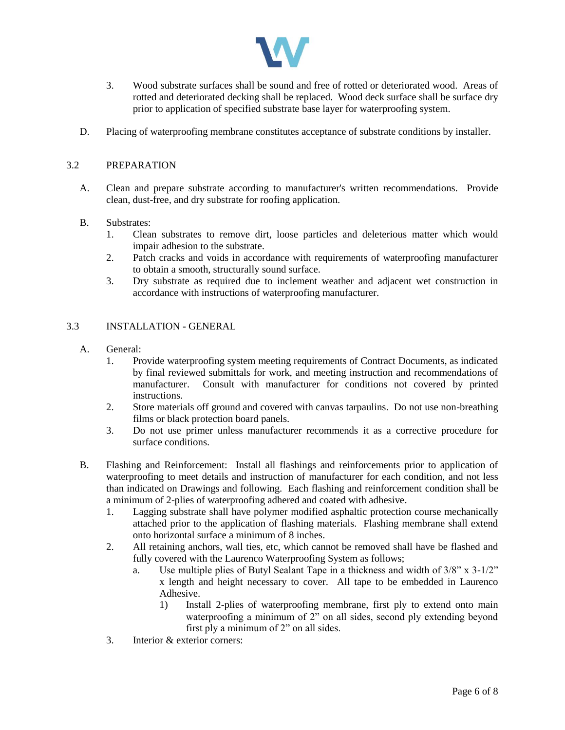

- 3. Wood substrate surfaces shall be sound and free of rotted or deteriorated wood. Areas of rotted and deteriorated decking shall be replaced. Wood deck surface shall be surface dry prior to application of specified substrate base layer for waterproofing system.
- D. Placing of waterproofing membrane constitutes acceptance of substrate conditions by installer.

## 3.2 PREPARATION

- A. Clean and prepare substrate according to manufacturer's written recommendations. Provide clean, dust-free, and dry substrate for roofing application.
- B. Substrates:
	- 1. Clean substrates to remove dirt, loose particles and deleterious matter which would impair adhesion to the substrate.
	- 2. Patch cracks and voids in accordance with requirements of waterproofing manufacturer to obtain a smooth, structurally sound surface.
	- 3. Dry substrate as required due to inclement weather and adjacent wet construction in accordance with instructions of waterproofing manufacturer.

### 3.3 INSTALLATION - GENERAL

- A. General:
	- 1. Provide waterproofing system meeting requirements of Contract Documents, as indicated by final reviewed submittals for work, and meeting instruction and recommendations of manufacturer. Consult with manufacturer for conditions not covered by printed instructions.
	- 2. Store materials off ground and covered with canvas tarpaulins. Do not use non-breathing films or black protection board panels.
	- 3. Do not use primer unless manufacturer recommends it as a corrective procedure for surface conditions.
- B. Flashing and Reinforcement: Install all flashings and reinforcements prior to application of waterproofing to meet details and instruction of manufacturer for each condition, and not less than indicated on Drawings and following. Each flashing and reinforcement condition shall be a minimum of 2-plies of waterproofing adhered and coated with adhesive.
	- 1. Lagging substrate shall have polymer modified asphaltic protection course mechanically attached prior to the application of flashing materials. Flashing membrane shall extend onto horizontal surface a minimum of 8 inches.
	- 2. All retaining anchors, wall ties, etc, which cannot be removed shall have be flashed and fully covered with the Laurenco Waterproofing System as follows;
		- a. Use multiple plies of Butyl Sealant Tape in a thickness and width of 3/8" x 3-1/2" x length and height necessary to cover. All tape to be embedded in Laurenco Adhesive.
			- 1) Install 2-plies of waterproofing membrane, first ply to extend onto main waterproofing a minimum of 2" on all sides, second ply extending beyond first ply a minimum of 2" on all sides.
	- 3. Interior & exterior corners: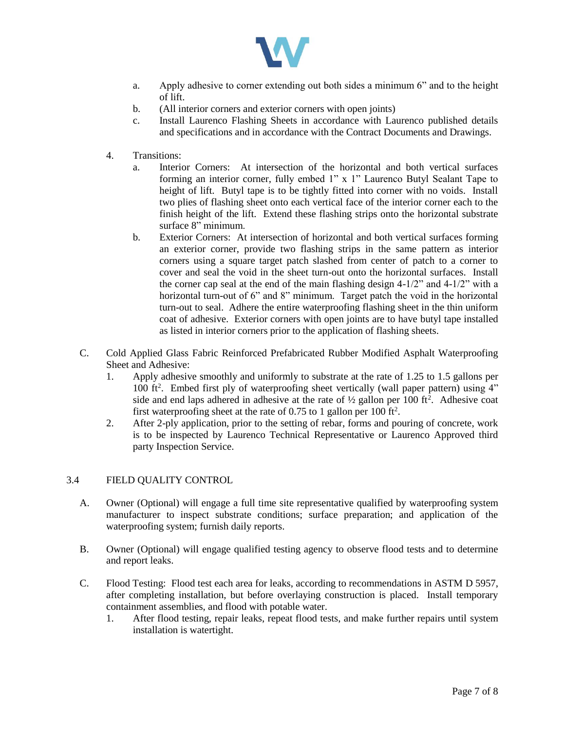

- a. Apply adhesive to corner extending out both sides a minimum 6" and to the height of lift.
- b. (All interior corners and exterior corners with open joints)
- c. Install Laurenco Flashing Sheets in accordance with Laurenco published details and specifications and in accordance with the Contract Documents and Drawings.
- 4. Transitions:
	- a. Interior Corners: At intersection of the horizontal and both vertical surfaces forming an interior corner, fully embed 1" x 1" Laurenco Butyl Sealant Tape to height of lift. Butyl tape is to be tightly fitted into corner with no voids. Install two plies of flashing sheet onto each vertical face of the interior corner each to the finish height of the lift. Extend these flashing strips onto the horizontal substrate surface 8" minimum.
	- b. Exterior Corners: At intersection of horizontal and both vertical surfaces forming an exterior corner, provide two flashing strips in the same pattern as interior corners using a square target patch slashed from center of patch to a corner to cover and seal the void in the sheet turn-out onto the horizontal surfaces. Install the corner cap seal at the end of the main flashing design 4-1/2" and 4-1/2" with a horizontal turn-out of 6" and 8" minimum. Target patch the void in the horizontal turn-out to seal. Adhere the entire waterproofing flashing sheet in the thin uniform coat of adhesive. Exterior corners with open joints are to have butyl tape installed as listed in interior corners prior to the application of flashing sheets.
- C. Cold Applied Glass Fabric Reinforced Prefabricated Rubber Modified Asphalt Waterproofing Sheet and Adhesive:
	- 1. Apply adhesive smoothly and uniformly to substrate at the rate of 1.25 to 1.5 gallons per 100 ft<sup>2</sup>. Embed first ply of waterproofing sheet vertically (wall paper pattern) using 4" side and end laps adhered in adhesive at the rate of  $\frac{1}{2}$  gallon per 100 ft<sup>2</sup>. Adhesive coat first waterproofing sheet at the rate of 0.75 to 1 gallon per 100 ft<sup>2</sup>.
	- 2. After 2-ply application, prior to the setting of rebar, forms and pouring of concrete, work is to be inspected by Laurenco Technical Representative or Laurenco Approved third party Inspection Service.

## 3.4 FIELD QUALITY CONTROL

- A. Owner (Optional) will engage a full time site representative qualified by waterproofing system manufacturer to inspect substrate conditions; surface preparation; and application of the waterproofing system; furnish daily reports.
- B. Owner (Optional) will engage qualified testing agency to observe flood tests and to determine and report leaks.
- C. Flood Testing: Flood test each area for leaks, according to recommendations in ASTM D 5957, after completing installation, but before overlaying construction is placed. Install temporary containment assemblies, and flood with potable water.
	- 1. After flood testing, repair leaks, repeat flood tests, and make further repairs until system installation is watertight.